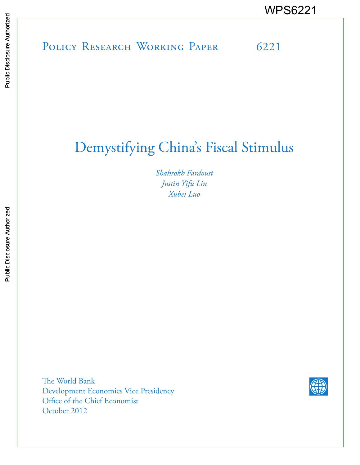# POLICY RESEARCH WORKING PAPER 6221 WPS6221<br>
Media<br>
Media<br>
Band<br>
Band<br>
Band<br>
Band<br>
Band<br>
Band<br>
Band<br>
Band<br>
Band<br>
Band<br>
Band<br>
Band<br>
Band<br>
Band<br>
Band<br>
Band<br>
Band<br>
Band<br>
Band<br>
Band<br>
Band<br>
Band<br>
Band<br>
Band<br>
Band<br>
Band<br>
Band<br>
Band<br>
Band<br>
Band<br>
Band<br>
Band<br>
Band<br>
B

## Demystifying China's Fiscal Stimulus

*Shahrokh Fardoust Justin Yifu Lin Xubei Luo*

The World Bank Development Economics Vice Presidency Office of the Chief Economist October 2012

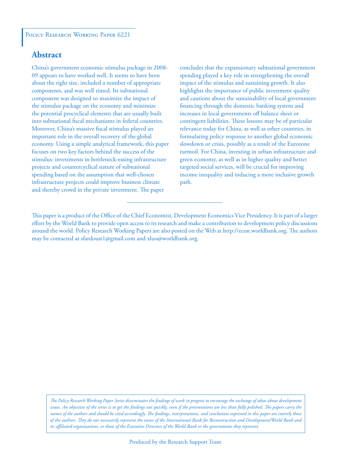#### **Abstract**

China's government economic stimulus package in 2008- 09 appears to have worked well. It seems to have been about the right size, included a number of appropriate components, and was well timed. Its subnational component was designed to maximize the impact of the stimulus package on the economy and minimize the potential procyclical elements that are usually built into subnational fiscal mechanisms in federal countries. Moreover, China's massive fiscal stimulus played an important role in the overall recovery of the global economy. Using a simple analytical framework, this paper focuses on two key factors behind the success of the stimulus: investments in bottleneck-easing infrastructure projects and countercyclical nature of subnational spending based on the assumption that well-chosen infrastructure projects could improve business climate and thereby crowd in the private investment. The paper

concludes that the expansionary subnational government spending played a key role in strengthening the overall impact of the stimulus and sustaining growth. It also highlights the importance of public investment quality and cautions about the sustainability of local government financing through the domestic banking system and increases in local governments off balance sheet or contingent liabilities. These lessons may be of particular relevance today for China, as well as other countries, in formulating policy response to another global economic slowdown or crisis, possibly as a result of the Eurozone turmoil. For China, investing in urban infrastructure and green economy, as well as in higher quality and better targeted social services, will be crucial for improving income inequality and inducing a more inclusive growth path.

This paper is a product of the Office of the Chief Economist, Development Economics Vice Presidency. It is part of a larger effort by the World Bank to provide open access to its research and make a contribution to development policy discussions around the world. Policy Research Working Papers are also posted on the Web at http://econ.worldbank.org. The authors may be contacted at sfardoust1@gmail.com and xluo@worldbank.org.

*The Policy Research Working Paper Series disseminates the findings of work in progress to encourage the exchange of ideas about development*  issues. An objective of the series is to get the findings out quickly, even if the presentations are less than fully polished. The papers carry the *names of the authors and should be cited accordingly. The findings, interpretations, and conclusions expressed in this paper are entirely those of the authors. They do not necessarily represent the views of the International Bank for Reconstruction and Development/World Bank and its affiliated organizations, or those of the Executive Directors of the World Bank or the governments they represent.*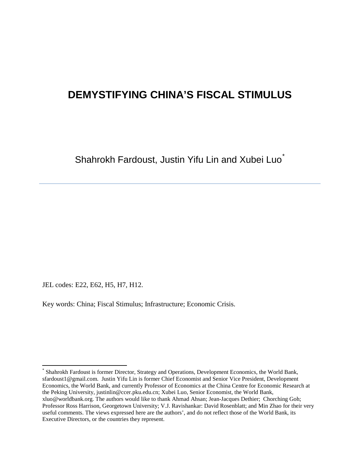### **DEMYSTIFYING CHINA'S FISCAL STIMULUS**

Shahrokh Fardoust, Justin Yifu Lin and Xubei Luo<sup>[\\*](#page-2-0)</sup>

JEL codes: E22, E62, H5, H7, H12.

 $\overline{\phantom{a}}$ 

Key words: China; Fiscal Stimulus; Infrastructure; Economic Crisis.

<span id="page-2-0"></span><sup>\*</sup> Shahrokh Fardoust is former Director, Strategy and Operations, Development Economics, the World Bank, [sfardoust1@gmail.com.](mailto:sfardoust1@gmail.com) Justin Yifu Lin is former Chief Economist and Senior Vice President, Development Economics, the World Bank, and currently Professor of Economics at the China Centre for Economic Research at the Peking University, [justinlin@ccer.pku.edu.cn;](mailto:justinlin@ccer.pku.edu.cn) Xubei Luo, Senior Economist, the World Bank, [xluo@worldbank.org.](mailto:xluo@worldbank.org) The authors would like to thank Ahmad Ahsan; Jean-Jacques Dethier; Chorching Goh; Professor Ross Harrison, Georgetown University; V.J. Ravishankar: David Rosenblatt; and Min Zhao for their very useful comments. The views expressed here are the authors', and do not reflect those of the World Bank, its Executive Directors, or the countries they represent.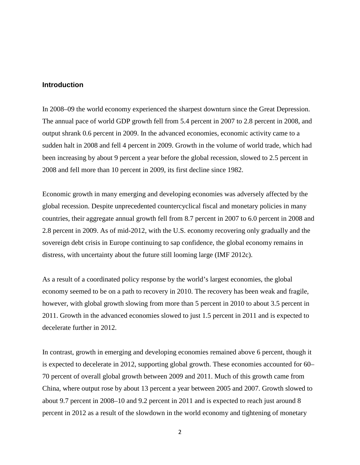#### **Introduction**

In 2008–09 the world economy experienced the sharpest downturn since the Great Depression. The annual pace of world GDP growth fell from 5.4 percent in 2007 to 2.8 percent in 2008, and output shrank 0.6 percent in 2009. In the advanced economies, economic activity came to a sudden halt in 2008 and fell 4 percent in 2009. Growth in the volume of world trade, which had been increasing by about 9 percent a year before the global recession, slowed to 2.5 percent in 2008 and fell more than 10 percent in 2009, its first decline since 1982.

Economic growth in many emerging and developing economies was adversely affected by the global recession. Despite unprecedented countercyclical fiscal and monetary policies in many countries, their aggregate annual growth fell from 8.7 percent in 2007 to 6.0 percent in 2008 and 2.8 percent in 2009. As of mid-2012, with the U.S. economy recovering only gradually and the sovereign debt crisis in Europe continuing to sap confidence, the global economy remains in distress, with uncertainty about the future still looming large (IMF 2012c).

As a result of a coordinated policy response by the world's largest economies, the global economy seemed to be on a path to recovery in 2010. The recovery has been weak and fragile, however, with global growth slowing from more than 5 percent in 2010 to about 3.5 percent in 2011. Growth in the advanced economies slowed to just 1.5 percent in 2011 and is expected to decelerate further in 2012.

In contrast, growth in emerging and developing economies remained above 6 percent, though it is expected to decelerate in 2012, supporting global growth. These economies accounted for 60– 70 percent of overall global growth between 2009 and 2011. Much of this growth came from China, where output rose by about 13 percent a year between 2005 and 2007. Growth slowed to about 9.7 percent in 2008–10 and 9.2 percent in 2011 and is expected to reach just around 8 percent in 2012 as a result of the slowdown in the world economy and tightening of monetary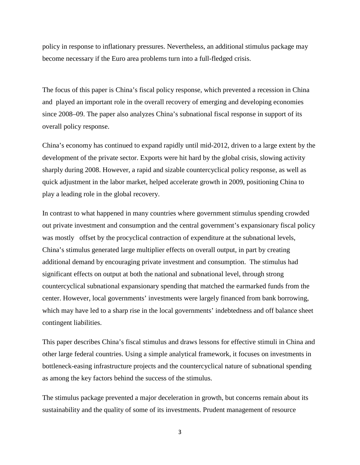policy in response to inflationary pressures. Nevertheless, an additional stimulus package may become necessary if the Euro area problems turn into a full-fledged crisis.

The focus of this paper is China's fiscal policy response, which prevented a recession in China and played an important role in the overall recovery of emerging and developing economies since 2008–09. The paper also analyzes China's subnational fiscal response in support of its overall policy response.

China's economy has continued to expand rapidly until mid-2012, driven to a large extent by the development of the private sector. Exports were hit hard by the global crisis, slowing activity sharply during 2008. However, a rapid and sizable countercyclical policy response, as well as quick adjustment in the labor market, helped accelerate growth in 2009, positioning China to play a leading role in the global recovery.

In contrast to what happened in many countries where government stimulus spending crowded out private investment and consumption and the central government's expansionary fiscal policy was mostly offset by the procyclical contraction of expenditure at the subnational levels, China's stimulus generated large multiplier effects on overall output, in part by creating additional demand by encouraging private investment and consumption. The stimulus had significant effects on output at both the national and subnational level, through strong countercyclical subnational expansionary spending that matched the earmarked funds from the center. However, local governments' investments were largely financed from bank borrowing, which may have led to a sharp rise in the local governments' indebtedness and off balance sheet contingent liabilities.

This paper describes China's fiscal stimulus and draws lessons for effective stimuli in China and other large federal countries. Using a simple analytical framework, it focuses on investments in bottleneck-easing infrastructure projects and the countercyclical nature of subnational spending as among the key factors behind the success of the stimulus.

The stimulus package prevented a major deceleration in growth, but concerns remain about its sustainability and the quality of some of its investments. Prudent management of resource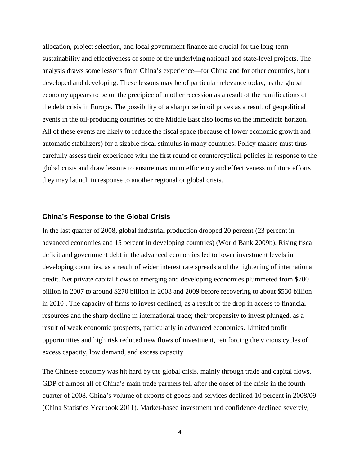allocation, project selection, and local government finance are crucial for the long-term sustainability and effectiveness of some of the underlying national and state-level projects. The analysis draws some lessons from China's experience—for China and for other countries, both developed and developing. These lessons may be of particular relevance today, as the global economy appears to be on the precipice of another recession as a result of the ramifications of the debt crisis in Europe. The possibility of a sharp rise in oil prices as a result of geopolitical events in the oil-producing countries of the Middle East also looms on the immediate horizon. All of these events are likely to reduce the fiscal space (because of lower economic growth and automatic stabilizers) for a sizable fiscal stimulus in many countries. Policy makers must thus carefully assess their experience with the first round of countercyclical policies in response to the global crisis and draw lessons to ensure maximum efficiency and effectiveness in future efforts they may launch in response to another regional or global crisis.

#### **China's Response to the Global Crisis**

In the last quarter of 2008, global industrial production dropped 20 percent (23 percent in advanced economies and 15 percent in developing countries) (World Bank 2009b). Rising fiscal deficit and government debt in the advanced economies led to lower investment levels in developing countries, as a result of wider interest rate spreads and the tightening of international credit. Net private capital flows to emerging and developing economies plummeted from \$700 billion in 2007 to around \$270 billion in 2008 and 2009 before recovering to about \$530 billion in 2010 . The capacity of firms to invest declined, as a result of the drop in access to financial resources and the sharp decline in international trade; their propensity to invest plunged, as a result of weak economic prospects, particularly in advanced economies. Limited profit opportunities and high risk reduced new flows of investment, reinforcing the vicious cycles of excess capacity, low demand, and excess capacity.

The Chinese economy was hit hard by the global crisis, mainly through trade and capital flows. GDP of almost all of China's main trade partners fell after the onset of the crisis in the fourth quarter of 2008. China's volume of exports of goods and services declined 10 percent in 2008/09 (China Statistics Yearbook 2011). Market-based investment and confidence declined severely,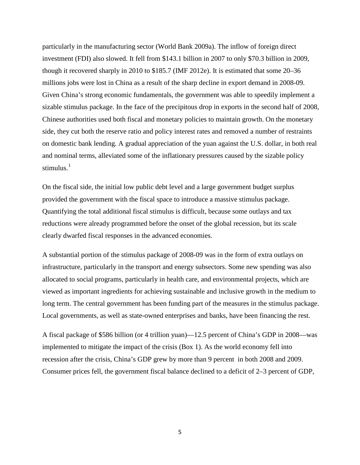particularly in the manufacturing sector (World Bank 2009a). The inflow of foreign direct investment (FDI) also slowed. It fell from \$143.1 billion in 2007 to only \$70.3 billion in 2009, though it recovered sharply in 2010 to \$185.7 (IMF 2012e). It is estimated that some 20–36 millions jobs were lost in China as a result of the sharp decline in export demand in 2008-09. Given China's strong economic fundamentals, the government was able to speedily implement a sizable stimulus package. In the face of the precipitous drop in exports in the second half of 2008, Chinese authorities used both fiscal and monetary policies to maintain growth. On the monetary side, they cut both the reserve ratio and policy interest rates and removed a number of restraints on domestic bank lending. A gradual appreciation of the yuan against the U.S. dollar, in both real and nominal terms, alleviated some of the inflationary pressures caused by the sizable policy stimulus. $1$ 

On the fiscal side, the initial low public debt level and a large government budget surplus provided the government with the fiscal space to introduce a massive stimulus package. Quantifying the total additional fiscal stimulus is difficult, because some outlays and tax reductions were already programmed before the onset of the global recession, but its scale clearly dwarfed fiscal responses in the advanced economies.

A substantial portion of the stimulus package of 2008-09 was in the form of extra outlays on infrastructure, particularly in the transport and energy subsectors. Some new spending was also allocated to social programs, particularly in health care, and environmental projects, which are viewed as important ingredients for achieving sustainable and inclusive growth in the medium to long term. The central government has been funding part of the measures in the stimulus package. Local governments, as well as state-owned enterprises and banks, have been financing the rest.

A fiscal package of \$586 billion (or 4 trillion yuan)—12.5 percent of China's GDP in 2008—was implemented to mitigate the impact of the crisis (Box 1). As the world economy fell into recession after the crisis, China's GDP grew by more than 9 percent in both 2008 and 2009. Consumer prices fell, the government fiscal balance declined to a deficit of 2–3 percent of GDP,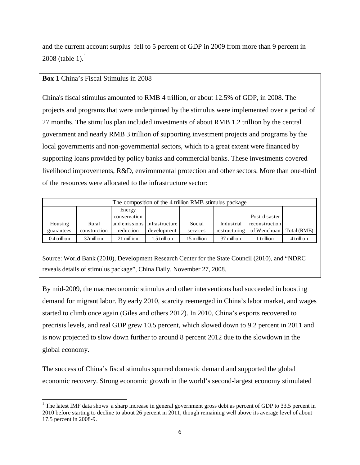and the current account surplus fell to 5 percent of GDP in 2009 from more than 9 percent in 2008 (table [1](#page-7-0)).<sup>1</sup>

#### **Box 1** China's Fiscal Stimulus in 2008

 $\overline{\phantom{a}}$ 

China's fiscal stimulus amounted to RMB 4 trillion, or about 12.5% of GDP, in 2008. The projects and programs that were underpinned by the stimulus were implemented over a period of 27 months. The stimulus plan included investments of about RMB 1.2 trillion by the central government and nearly RMB 3 trillion of supporting investment projects and programs by the local governments and non-governmental sectors, which to a great extent were financed by supporting loans provided by policy banks and commercial banks. These investments covered livelihood improvements, R&D, environmental protection and other sectors. More than one-third of the resources were allocated to the infrastructure sector:

| The composition of the 4 trillion RMB stimulus package |              |               |                |            |               |                |             |
|--------------------------------------------------------|--------------|---------------|----------------|------------|---------------|----------------|-------------|
|                                                        |              | Energy        |                |            |               |                |             |
|                                                        |              | conservation  |                |            |               | Post-disaster  |             |
| Housing                                                | Rural        | and emissions | Infrastructure | Social     | Industrial    | reconstruction |             |
| guarantees                                             | construction | reduction     | development    | services   | restructuring | of Wenchuan    | Total (RMB) |
| 0.4 trillion                                           | 37million    | 21 million    | 1.5 trillion   | 15 million | 37 million    | trillion       | 4 trillion  |

Source: World Bank (2010), Development Research Center for the State Council (2010), and "NDRC reveals details of stimulus package", China Daily, November 27, 2008.

By mid-2009, the macroeconomic stimulus and other interventions had succeeded in boosting demand for migrant labor. By early 2010, scarcity reemerged in China's labor market, and wages started to climb once again (Giles and others 2012). In 2010, China's exports recovered to precrisis levels, and real GDP grew 10.5 percent, which slowed down to 9.2 percent in 2011 and is now projected to slow down further to around 8 percent 2012 due to the slowdown in the global economy.

The success of China's fiscal stimulus spurred domestic demand and supported the global economic recovery. Strong economic growth in the world's second-largest economy stimulated

<span id="page-7-0"></span><sup>&</sup>lt;sup>1</sup> The latest IMF data shows a sharp increase in general government gross debt as percent of GDP to 33.5 percent in 2010 before starting to decline to about 26 percent in 2011, though remaining well above its average level of about 17.5 percent in 2008-9.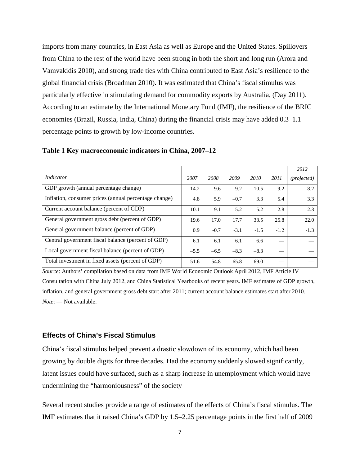imports from many countries, in East Asia as well as Europe and the United States. Spillovers from China to the rest of the world have been strong in both the short and long run (Arora and Vamvakidis 2010), and strong trade ties with China contributed to East Asia's resilience to the global financial crisis (Broadman 2010). It was estimated that China's fiscal stimulus was particularly effective in stimulating demand for commodity exports by Australia, (Day 2011). According to an estimate by the International Monetary Fund (IMF), the resilience of the BRIC economies (Brazil, Russia, India, China) during the financial crisis may have added 0.3–1.1 percentage points to growth by low-income countries.

|                                                       |        |        |        |        |        | 2012                 |
|-------------------------------------------------------|--------|--------|--------|--------|--------|----------------------|
| Indicator                                             | 2007   | 2008   | 2009   | 2010   | 2011   | ( <i>projected</i> ) |
| GDP growth (annual percentage change)                 | 14.2   | 9.6    | 9.2    | 10.5   | 9.2    | 8.2                  |
| Inflation, consumer prices (annual percentage change) | 4.8    | 5.9    | $-0.7$ | 3.3    | 5.4    | 3.3                  |
| Current account balance (percent of GDP)              | 10.1   | 9.1    | 5.2    | 5.2    | 2.8    | 2.3                  |
| General government gross debt (percent of GDP)        | 19.6   | 17.0   | 17.7   | 33.5   | 25.8   | 22.0                 |
| General government balance (percent of GDP)           | 0.9    | $-0.7$ | $-3.1$ | $-1.5$ | $-1.2$ | $-1.3$               |
| Central government fiscal balance (percent of GDP)    | 6.1    | 6.1    | 6.1    | 6.6    |        |                      |
| Local government fiscal balance (percent of GDP)      | $-5.5$ | $-6.5$ | $-8.3$ | $-8.3$ |        |                      |
| Total investment in fixed assets (percent of GDP)     | 51.6   | 54.8   | 65.8   | 69.0   |        |                      |

**Table 1 Key macroeconomic indicators in China, 2007–12** 

*Source*: Authors' compilation based on data from IMF World Economic Outlook April 2012, IMF Article IV Consultation with China July 2012, and China Statistical Yearbooks of recent years. IMF estimates of GDP growth, inflation, and general government gross debt start after 2011; current account balance estimates start after 2010. *Note*: — Not available.

#### **Effects of China's Fiscal Stimulus**

China's fiscal stimulus helped prevent a drastic slowdown of its economy, which had been growing by double digits for three decades. Had the economy suddenly slowed significantly, latent issues could have surfaced, such as a sharp increase in unemployment which would have undermining the "harmoniousness" of the society

Several recent studies provide a range of estimates of the effects of China's fiscal stimulus. The IMF estimates that it raised China's GDP by 1.5–2.25 percentage points in the first half of 2009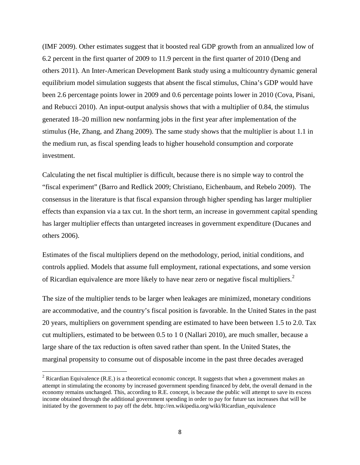(IMF 2009). Other estimates suggest that it boosted real GDP growth from an annualized low of 6.2 percent in the first quarter of 2009 to 11.9 percent in the first quarter of 2010 (Deng and others 2011). An Inter-American Development Bank study using a multicountry dynamic general equilibrium model simulation suggests that absent the fiscal stimulus, China's GDP would have been 2.6 percentage points lower in 2009 and 0.6 percentage points lower in 2010 (Cova, Pisani, and Rebucci 2010). An input-output analysis shows that with a multiplier of 0.84, the stimulus generated 18–20 million new nonfarming jobs in the first year after implementation of the stimulus (He, Zhang, and Zhang 2009). The same study shows that the multiplier is about 1.1 in the medium run, as fiscal spending leads to higher household consumption and corporate investment.

Calculating the net fiscal multiplier is difficult, because there is no simple way to control the "fiscal experiment" (Barro and Redlick 2009; Christiano, Eichenbaum, and Rebelo 2009). The consensus in the literature is that fiscal expansion through higher spending has larger multiplier effects than expansion via a tax cut. In the short term, an increase in government capital spending has larger multiplier effects than untargeted increases in government expenditure (Ducanes and others 2006).

Estimates of the fiscal multipliers depend on the methodology, period, initial conditions, and controls applied. Models that assume full employment, rational expectations, and some version of Ricardian equivalence are more likely to have near zero or negative fiscal multipliers.<sup>[2](#page-9-0)</sup>

The size of the multiplier tends to be larger when leakages are minimized, monetary conditions are accommodative, and the country's fiscal position is favorable. In the United States in the past 20 years, multipliers on government spending are estimated to have been between 1.5 to 2.0. Tax cut multipliers, estimated to be between 0.5 to 1 0 (Nallari 2010), are much smaller, because a large share of the tax reduction is often saved rather than spent. In the United States, the marginal propensity to consume out of disposable income in the past three decades averaged

l

<span id="page-9-0"></span> $2$  Ricardian Equivalence (R.E.) is a theoretical economic concept. It suggests that when a government makes an attempt in stimulating the economy by increased government spending financed by debt, the overall demand in the economy remains unchanged. This, according to R.E. concept, is because the public will attempt to save its excess income obtained through the additional government spending in order to pay for future tax increases that will be initiated by the government to pay off the debt. http://en.wikipedia.org/wiki/Ricardian\_equivalence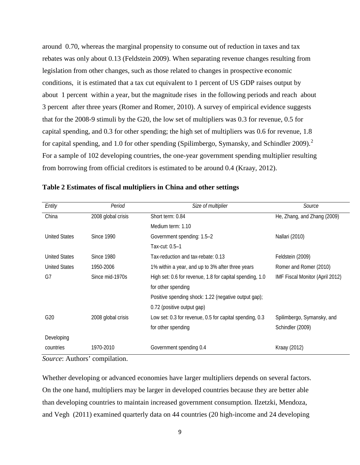around 0.70, whereas the marginal propensity to consume out of reduction in taxes and tax rebates was only about 0.13 (Feldstein 2009). When separating revenue changes resulting from legislation from other changes, such as those related to changes in prospective economic conditions, it is estimated that a tax cut equivalent to 1 percent of US GDP raises output by about 1 percent within a year, but the magnitude rises in the following periods and reach about 3 percent after three years (Romer and Romer, 2010). A survey of empirical evidence suggests that for the 2008-9 stimuli by the G20, the low set of multipliers was 0.3 for revenue, 0.5 for capital spending, and 0.3 for other spending; the high set of multipliers was 0.6 for revenue, 1.8 for capital spending, and 1.0 for other spending (Spilimbergo, Symansky, and Schindler [2](#page-34-1)009).<sup>2</sup> For a sample of 102 developing countries, the one-year government spending multiplier resulting from borrowing from official creditors is estimated to be around 0.4 (Kraay, 2012).

| Entity               | Period             | Size of multiplier                                       | Source                          |  |
|----------------------|--------------------|----------------------------------------------------------|---------------------------------|--|
| China                | 2008 global crisis | Short term: 0.84                                         | He, Zhang, and Zhang (2009)     |  |
|                      |                    | Medium term: 1.10                                        |                                 |  |
| <b>United States</b> | Since 1990         | Government spending: 1.5-2                               | Nallari (2010)                  |  |
|                      |                    | Tax-cut: 0.5-1                                           |                                 |  |
| <b>United States</b> | <b>Since 1980</b>  | Tax-reduction and tax-rebate: 0.13                       | Feldstein (2009)                |  |
| <b>United States</b> | 1950-2006          | 1% within a year, and up to 3% after three years         | Romer and Romer (2010)          |  |
| G7                   | Since mid-1970s    | High set: 0.6 for revenue, 1.8 for capital spending, 1.0 | IMF Fiscal Monitor (April 2012) |  |
|                      |                    | for other spending                                       |                                 |  |
|                      |                    | Positive spending shock: 1.22 (negative output gap);     |                                 |  |
|                      |                    | 0.72 (positive output gap)                               |                                 |  |
| G20                  | 2008 global crisis | Low set: 0.3 for revenue, 0.5 for capital spending, 0.3  | Spilimbergo, Symansky, and      |  |
|                      |                    | for other spending                                       | Schindler (2009)                |  |
| Developing           |                    |                                                          |                                 |  |
| countries            | 1970-2010          | Government spending 0.4                                  | Kraay (2012)                    |  |

#### **Table 2 Estimates of fiscal multipliers in China and other settings**

*Source*: Authors' compilation.

Whether developing or advanced economies have larger multipliers depends on several factors. On the one hand, multipliers may be larger in developed countries because they are better able than developing countries to maintain increased government consumption. [Ilzetzki,](http://www.voxeu.org/index.php?q=node/4037) [Mendoza,](http://www.voxeu.org/index.php?q=node/3045) [and Vegh](http://www.voxeu.org/index.php?q=node/4038) (2011) examined quarterly data on 44 countries (20 high-income and 24 developing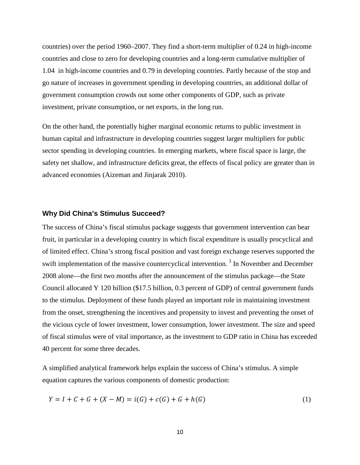countries) over the period 1960–2007. They find a short-term multiplier of 0.24 in high-income countries and close to zero for developing countries and a long-term cumulative multiplier of 1.04 in high-income countries and 0.79 in developing countries. Partly because of the stop and go nature of increases in government spending in developing countries, an additional dollar of government consumption crowds out some other components of GDP, such as private investment, private consumption, or net exports, in the long run.

On the other hand, the potentially higher marginal economic returns to public investment in human capital and infrastructure in developing countries suggest larger multipliers for public sector spending in developing countries. In emerging markets, where fiscal space is large, the safety net shallow, and infrastructure deficits great, the effects of fiscal policy are greater than in advanced economies (Aizeman and Jinjarak 2010).

#### **Why Did China's Stimulus Succeed?**

The success of China's fiscal stimulus package suggests that government intervention can bear fruit, in particular in a developing country in which fiscal expenditure is usually procyclical and of limited effect. China's strong fiscal position and vast foreign exchange reserves supported the swift implementation of the massive countercyclical intervention.<sup>[3](#page-34-2)</sup> In November and December 2008 alone—the first two months after the announcement of the stimulus package—the State Council allocated Y 120 billion (\$17.5 billion, 0.3 percent of GDP) of central government funds to the stimulus. Deployment of these funds played an important role in maintaining investment from the onset, strengthening the incentives and propensity to invest and preventing the onset of the vicious cycle of lower investment, lower consumption, lower investment. The size and speed of fiscal stimulus were of vital importance, as the investment to GDP ratio in China has exceeded 40 percent for some three decades.

A simplified analytical framework helps explain the success of China's stimulus. A simple equation captures the various components of domestic production:

$$
Y = I + C + G + (X - M) = i(G) + c(G) + G + h(G)
$$
\n(1)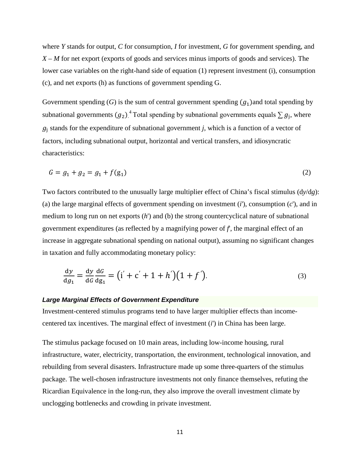where *Y* stands for output, *C* for consumption, *I* for investment, *G* for government spending, and *X* – *M* for net export (exports of goods and services minus imports of goods and services). The lower case variables on the right-hand side of equation (1) represent investment (i), consumption (c), and net exports (h) as functions of government spending G.

Government spending  $(G)$  is the sum of central government spending  $(g_1)$  and total spending by subnational governments  $(g_2)$ <sup>[4](#page-34-3)</sup> Total spending by subnational governments equals  $\sum g_j$ , where  $g_j$  stands for the expenditure of subnational government *j*, which is a function of a vector of factors, including subnational output, horizontal and vertical transfers, and idiosyncratic characteristics:

$$
G = g_1 + g_2 = g_1 + f(g_1) \tag{2}
$$

Two factors contributed to the unusually large multiplier effect of China's fiscal stimulus (d*y*/d*g*): (a) the large marginal effects of government spending on investment (*i*'), consumption (*c*'), and in medium to long run on net exports (*h*') and (b) the strong countercyclical nature of subnational government expenditures (as reflected by a magnifying power of *f*', the marginal effect of an increase in aggregate subnational spending on national output), assuming no significant changes in taxation and fully accommodating monetary policy:

$$
\frac{dy}{dg_1} = \frac{dy}{dG} \frac{dG}{dg_1} = (i' + c' + 1 + h')(1 + f').
$$
\n(3)

#### *Large Marginal Effects of Government Expenditure*

Investment-centered stimulus programs tend to have larger multiplier effects than incomecentered tax incentives. The marginal effect of investment (*i*') in China has been large.

The stimulus package focused on 10 main areas, including low-income housing, rural infrastructure, water, electricity, transportation, the environment, technological innovation, and rebuilding from several disasters. Infrastructure made up some three-quarters of the stimulus package. The well-chosen infrastructure investments not only finance themselves, refuting the Ricardian Equivalence in the long-run, they also improve the overall investment climate by unclogging bottlenecks and crowding in private investment.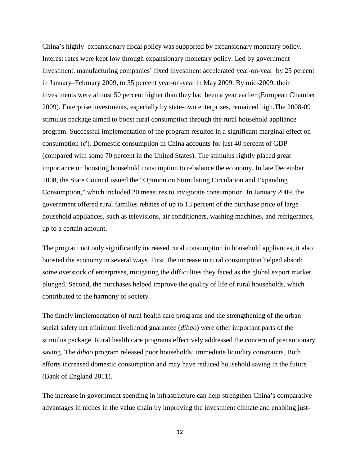China's highly expansionary fiscal policy was supported by expansionary monetary policy. Interest rates were kept low through expansionary monetary policy. Led by government investment, manufacturing companies' fixed investment accelerated year-on-year by 25 percent in January–February 2009, to 35 percent year-on-year in May 2009. By mid-2009, their investments were almost 50 percent higher than they had been a year earlier (European Chamber 2009). Enterprise investments, especially by state-own enterprises, remained high.The 2008-09 stimulus package aimed to boost rural consumption through the rural household appliance program. Successful implementation of the program resulted in a significant marginal effect on consumption (*c*'). Domestic consumption in China accounts for just 40 percent of GDP (compared with some 70 percent in the United States). The stimulus rightly placed great importance on boosting household consumption to rebalance the economy. In late December 2008, the State Council issued the "Opinion on Stimulating Circulation and Expanding Consumption," which included 20 measures to invigorate consumption. In January 2009, the government offered rural families rebates of up to 13 percent of the purchase price of large household appliances, such as televisions, air conditioners, washing machines, and refrigerators, up to a certain amount.

The program not only significantly increased rural consumption in household appliances, it also boosted the economy in several ways. First, the increase in rural consumption helped absorb some overstock of enterprises, mitigating the difficulties they faced as the global export market plunged. Second, the purchases helped improve the quality of life of rural households, which contributed to the harmony of society.

The timely implementation of rural health care programs and the strengthening of the urban social safety net minimum livelihood guarantee (*dibao*) were other important parts of the stimulus package. Rural health care programs effectively addressed the concern of precautionary saving. The *dibao* program released poor households' immediate liquidity constraints. Both efforts increased domestic consumption and may have reduced household saving in the future (Bank of England 2011).

The increase in government spending in infrastructure can help strengthen China's comparative advantages in niches in the value chain by improving the investment climate and enabling just-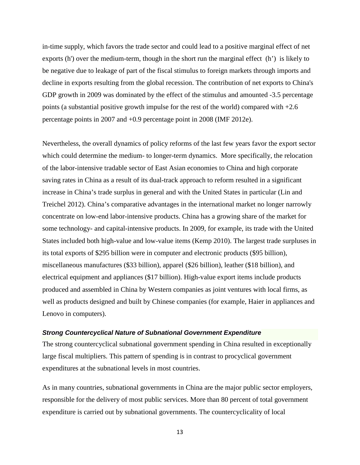in-time supply, which favors the trade sector and could lead to a positive marginal effect of net exports (h') over the medium-term, though in the short run the marginal effect (h') is likely to be negative due to leakage of part of the fiscal stimulus to foreign markets through imports and decline in exports resulting from the global recession. The contribution of net exports to China's GDP growth in 2009 was dominated by the effect of the stimulus and amounted -3.5 percentage points (a substantial positive growth impulse for the rest of the world) compared with +2.6 percentage points in 2007 and +0.9 percentage point in 2008 (IMF 2012e).

Nevertheless, the overall dynamics of policy reforms of the last few years favor the export sector which could determine the medium- to longer-term dynamics. More specifically, the relocation of the labor-intensive tradable sector of East Asian economies to China and high corporate saving rates in China as a result of its dual-track approach to reform resulted in a significant increase in China's trade surplus in general and with the United States in particular (Lin and Treichel 2012). China's comparative advantages in the international market no longer narrowly concentrate on low-end labor-intensive products. China has a growing share of the market for some technology- and capital-intensive products. In 2009, for example, its trade with the United States included both high-value and low-value items (Kemp 2010). The largest trade surpluses in its total exports of \$295 billion were in computer and electronic products (\$95 billion), miscellaneous manufactures (\$33 billion), apparel (\$26 billion), leather (\$18 billion), and electrical equipment and appliances (\$17 billion). High-value export items include products produced and assembled in China by Western companies as joint ventures with local firms, as well as products designed and built by Chinese companies (for example, Haier in appliances and Lenovo in computers).

#### *Strong Countercyclical Nature of Subnational Government Expenditure*

The strong countercyclical subnational government spending in China resulted in exceptionally large fiscal multipliers. This pattern of spending is in contrast to procyclical government expenditures at the subnational levels in most countries.

As in many countries, subnational governments in China are the major public sector employers, responsible for the delivery of most public services. More than 80 percent of total government expenditure is carried out by subnational governments. The countercyclicality of local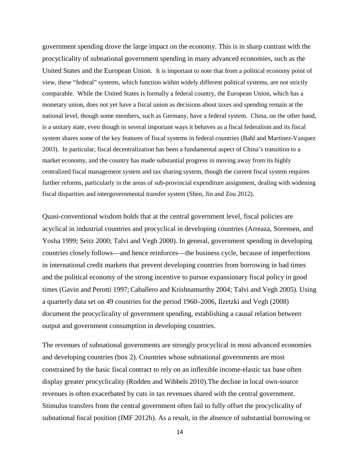government spending drove the large impact on the economy. This is in sharp contrast with the procyclicality of subnational government spending in many advanced economies, such as the United States and the European Union. It is important to note that from a political economy point of view, these "federal" systems, which function within widely different political systems, are not strictly comparable. While the United States is formally a federal country, the European Union, which has a monetary union, does not yet have a fiscal union as decisions about taxes and spending remain at the national level, though some members, such as Germany, have a federal system. China, on the other hand, is a unitary state, even though in several important ways it behaves as a fiscal federalism and its fiscal system shares some of the key features of fiscal systems in federal countries (Bahl and Martinez-Vazquez 2003). In particular, fiscal decentralization has been a fundamental aspect of China's transition to a market economy, and the country has made substantial progress in moving away from its highly centralized fiscal management system and tax sharing system, though the current fiscal system requires further reforms, particularly in the areas of sub-provincial expenditure assignment, dealing with widening fiscal disparities and intergovernmental transfer system (Shen, Jin and Zou 2012).

Quasi-conventional wisdom holds that at the central government level, fiscal policies are acyclical in industrial countries and procyclical in developing countries (Arreaza, Sorensen, and Yosha 1999; Seitz 2000; Talvi and Vegh 2000). In general, government spending in developing countries closely follows—and hence reinforces—the business cycle, because of imperfections in international credit markets that prevent developing countries from borrowing in bad times and the political economy of the strong incentive to pursue expansionary fiscal policy in good times (Gavin and Perotti 1997; Caballero and Krishnamurthy 2004; Talvi and Vegh 2005). Using a quarterly data set on 49 countries for the period 1960–2006, Ilzetzki and Vegh (2008) document the procyclicality of government spending, establishing a causal relation between output and government consumption in developing countries.

The revenues of subnational governments are strongly procyclical in most advanced economies and developing countries (box 2). Countries whose subnational governments are most constrained by the basic fiscal contract to rely on an inflexible income-elastic tax base often display greater procyclicality (Rodden and Wibbels 2010).The decline in local own-source revenues is often exacerbated by cuts in tax revenues shared with the central government. Stimulus transfers from the central government often fail to fully offset the procyclicality of subnational fiscal position (IMF 2012b). As a result, in the absence of substantial borrowing or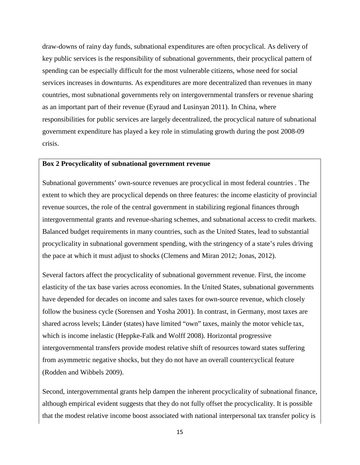draw-downs of rainy day funds, subnational expenditures are often procyclical. As delivery of key public services is the responsibility of subnational governments, their procyclical pattern of spending can be especially difficult for the most vulnerable citizens, whose need for social services increases in downturns. As expenditures are more decentralized than revenues in many countries, most subnational governments rely on intergovernmental transfers or revenue sharing as an important part of their revenue (Eyraud and Lusinyan 2011). In China, where responsibilities for public services are largely decentralized, the procyclical nature of subnational government expenditure has played a key role in stimulating growth during the post 2008-09 crisis.

#### **Box 2 Procyclicality of subnational government revenue**

Subnational governments' own-source revenues are procyclical in most federal countries . The extent to which they are procyclical depends on three features: the income elasticity of provincial revenue sources, the role of the central government in stabilizing regional finances through intergovernmental grants and revenue-sharing schemes, and subnational access to credit markets. Balanced budget requirements in many countries, such as the United States, lead to substantial procyclicality in subnational government spending, with the stringency of a state's rules driving the pace at which it must adjust to shocks (Clemens and Miran 2012; Jonas, 2012).

Several factors affect the procyclicality of subnational government revenue. First, the income elasticity of the tax base varies across economies. In the United States, subnational governments have depended for decades on income and sales taxes for own-source revenue, which closely follow the business cycle (Sorensen and Yosha 2001). In contrast, in Germany, most taxes are shared across levels; Länder (states) have limited "own" taxes, mainly the motor vehicle tax, which is income inelastic (Heppke-Falk and Wolff 2008). Horizontal progressive intergovernmental transfers provide modest relative shift of resources toward states suffering from asymmetric negative shocks, but they do not have an overall countercyclical feature (Rodden and Wibbels 2009).

Second, intergovernmental grants help dampen the inherent procyclicality of subnational finance, although empirical evident suggests that they do not fully offset the procyclicality. It is possible that the modest relative income boost associated with national interpersonal tax transfer policy is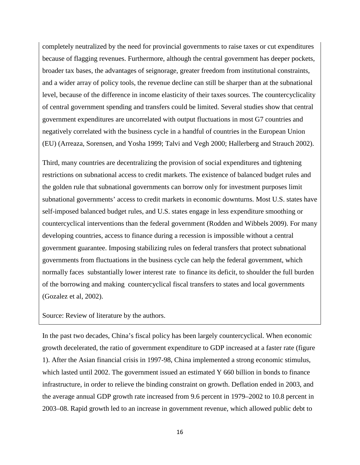completely neutralized by the need for provincial governments to raise taxes or cut expenditures because of flagging revenues. Furthermore, although the central government has deeper pockets, broader tax bases, the advantages of seignorage, greater freedom from institutional constraints, and a wider array of policy tools, the revenue decline can still be sharper than at the subnational level, because of the difference in income elasticity of their taxes sources. The countercyclicality of central government spending and transfers could be limited. Several studies show that central government expenditures are uncorrelated with output fluctuations in most G7 countries and negatively correlated with the business cycle in a handful of countries in the European Union (EU) (Arreaza, Sorensen, and Yosha 1999; Talvi and Vegh 2000; Hallerberg and Strauch 2002).

Third, many countries are decentralizing the provision of social expenditures and tightening restrictions on subnational access to credit markets. The existence of balanced budget rules and the golden rule that subnational governments can borrow only for investment purposes limit subnational governments' access to credit markets in economic downturns. Most U.S. states have self-imposed balanced budget rules, and U.S. states engage in less expenditure smoothing or countercyclical interventions than the federal government (Rodden and Wibbels 2009). For many developing countries, access to finance during a recession is impossible without a central government guarantee. Imposing stabilizing rules on federal transfers that protect subnational governments from fluctuations in the business cycle can help the federal government, which normally faces substantially lower interest rate to finance its deficit, to shoulder the full burden of the borrowing and making countercyclical fiscal transfers to states and local governments (Gozalez et al, 2002).

Source: Review of literature by the authors.

In the past two decades, China's fiscal policy has been largely countercyclical. When economic growth decelerated, the ratio of government expenditure to GDP increased at a faster rate (figure 1). After the Asian financial crisis in 1997-98, China implemented a strong economic stimulus, which lasted until 2002. The government issued an estimated Y 660 billion in bonds to finance infrastructure, in order to relieve the binding constraint on growth. Deflation ended in 2003, and the average annual GDP growth rate increased from 9.6 percent in 1979–2002 to 10.8 percent in 2003–08. Rapid growth led to an increase in government revenue, which allowed public debt to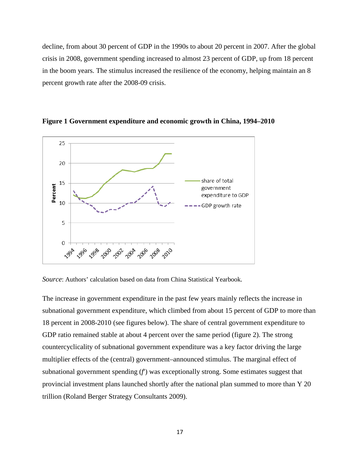decline, from about 30 percent of GDP in the 1990s to about 20 percent in 2007. After the global crisis in 2008, government spending increased to almost 23 percent of GDP, up from 18 percent in the boom years. The stimulus increased the resilience of the economy, helping maintain an 8 percent growth rate after the 2008-09 crisis.





*Source*: Authors' calculation based on data from China Statistical Yearbook.

The increase in government expenditure in the past few years mainly reflects the increase in subnational government expenditure, which climbed from about 15 percent of GDP to more than 18 percent in 2008-2010 (see figures below). The share of central government expenditure to GDP ratio remained stable at about 4 percent over the same period (figure 2). The strong countercyclicality of subnational government expenditure was a key factor driving the large multiplier effects of the (central) government–announced stimulus. The marginal effect of subnational government spending (*f*') was exceptionally strong. Some estimates suggest that provincial investment plans launched shortly after the national plan summed to more than Y 20 trillion (Roland Berger Strategy Consultants 2009).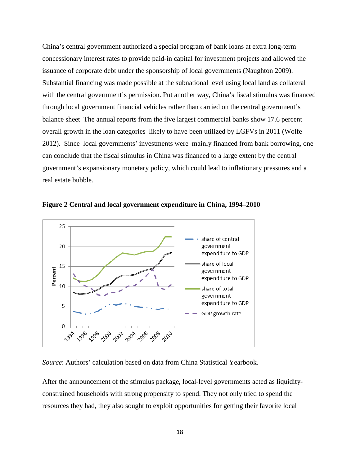China's central government authorized a special program of bank loans at extra long-term concessionary interest rates to provide paid-in capital for investment projects and allowed the issuance of corporate debt under the sponsorship of local governments (Naughton 2009). Substantial financing was made possible at the subnational level using local land as collateral with the central government's permission. Put another way, China's fiscal stimulus was financed through local government financial vehicles rather than carried on the central government's balance sheet The annual reports from the five largest commercial banks show 17.6 percent overall growth in the loan categories likely to have been utilized by LGFVs in 2011 (Wolfe 2012). Since local governments' investments were mainly financed from bank borrowing, one can conclude that the fiscal stimulus in China was financed to a large extent by the central government's expansionary monetary policy, which could lead to inflationary pressures and a real estate bubble.



**Figure 2 Central and local government expenditure in China, 1994–2010**

*Source*: Authors' calculation based on data from China Statistical Yearbook.

After the announcement of the stimulus package, local-level governments acted as liquidityconstrained households with strong propensity to spend. They not only tried to spend the resources they had, they also sought to exploit opportunities for getting their favorite local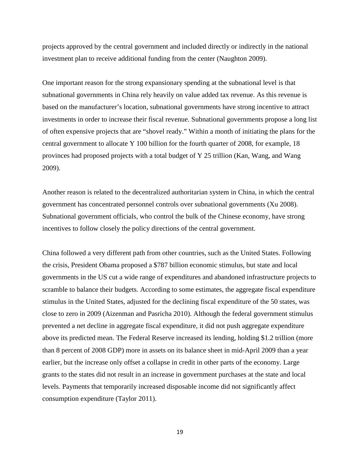projects approved by the central government and included directly or indirectly in the national investment plan to receive additional funding from the center (Naughton 2009).

One important reason for the strong expansionary spending at the subnational level is that subnational governments in China rely heavily on value added tax revenue. As this revenue is based on the manufacturer's location, subnational governments have strong incentive to attract investments in order to increase their fiscal revenue. Subnational governments propose a long list of often expensive projects that are "shovel ready." Within a month of initiating the plans for the central government to allocate Y 100 billion for the fourth quarter of 2008, for example, 18 provinces had proposed projects with a total budget of Y 25 trillion (Kan, Wang, and Wang 2009).

Another reason is related to the decentralized authoritarian system in China, in which the central government has concentrated personnel controls over subnational governments (Xu 2008). Subnational government officials, who control the bulk of the Chinese economy, have strong incentives to follow closely the policy directions of the central government.

China followed a very different path from other countries, such as the United States. Following the crisis, President Obama proposed a \$787 billion economic stimulus, but state and local governments in the US cut a wide range of expenditures and abandoned infrastructure projects to scramble to balance their budgets. According to some estimates, the aggregate fiscal expenditure stimulus in the United States, adjusted for the declining fiscal expenditure of the 50 states, was close to zero in 2009 (Aizenman and Pasricha 2010). Although the federal government stimulus prevented a net decline in aggregate fiscal expenditure, it did not push aggregate expenditure above its predicted mean. The Federal Reserve increased its lending, holding \$1.2 trillion (more than 8 percent of 2008 GDP) more in assets on its balance sheet in mid-April 2009 than a year earlier, but the increase only offset a collapse in credit in other parts of the economy. Large grants to the states did not result in an increase in government purchases at the state and local levels. Payments that temporarily increased disposable income did not significantly affect consumption expenditure (Taylor 2011).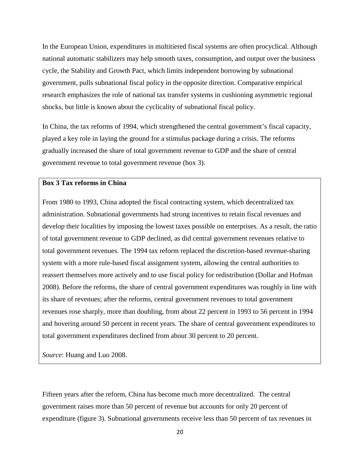In the European Union, expenditures in multitiered fiscal systems are often procyclical. Although national automatic stabilizers may help smooth taxes, consumption, and output over the business cycle, the Stability and Growth Pact, which limits independent borrowing by subnational government, pulls subnational fiscal policy in the opposite direction. Comparative empirical research emphasizes the role of national tax transfer systems in cushioning asymmetric regional shocks, but little is known about the cyclicality of subnational fiscal policy.

In China, the tax reforms of 1994, which strengthened the central government's fiscal capacity, played a key role in laying the ground for a stimulus package during a crisis. The reforms gradually increased the share of total government revenue to GDP and the share of central government revenue to total government revenue (box 3).

#### **Box 3 Tax reforms in China**

From 1980 to 1993, China adopted the fiscal contracting system, which decentralized tax administration. Subnational governments had strong incentives to retain fiscal revenues and develop their localities by imposing the lowest taxes possible on enterprises. As a result, the ratio of total government revenue to GDP declined, as did central government revenues relative to total government revenues. The 1994 tax reform replaced the discretion-based revenue-sharing system with a more rule-based fiscal assignment system, allowing the central authorities to reassert themselves more actively and to use fiscal policy for redistribution (Dollar and Hofman 2008). Before the reforms, the share of central government expenditures was roughly in line with its share of revenues; after the reforms, central government revenues to total government revenues rose sharply, more than doubling, from about 22 percent in 1993 to 56 percent in 1994 and hovering around 50 percent in recent years. The share of central government expenditures to total government expenditures declined from about 30 percent to 20 percent.

*Source*: Huang and Luo 2008.

Fifteen years after the reform, China has become much more decentralized. The central government raises more than 50 percent of revenue but accounts for only 20 percent of expenditure (figure 3). Subnational governments receive less than 50 percent of tax revenues in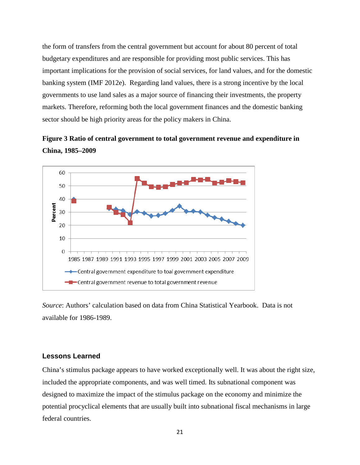the form of transfers from the central government but account for about 80 percent of total budgetary expenditures and are responsible for providing most public services. This has important implications for the provision of social services, for land values, and for the domestic banking system (IMF 2012e). Regarding land values, there is a strong incentive by the local governments to use land sales as a major source of financing their investments, the property markets. Therefore, reforming both the local government finances and the domestic banking sector should be high priority areas for the policy makers in China.





*Source*: Authors' calculation based on data from China Statistical Yearbook. Data is not available for 1986-1989.

#### **Lessons Learned**

China's stimulus package appears to have worked exceptionally well. It was about the right size, included the appropriate components, and was well timed. Its subnational component was designed to maximize the impact of the stimulus package on the economy and minimize the potential procyclical elements that are usually built into subnational fiscal mechanisms in large federal countries.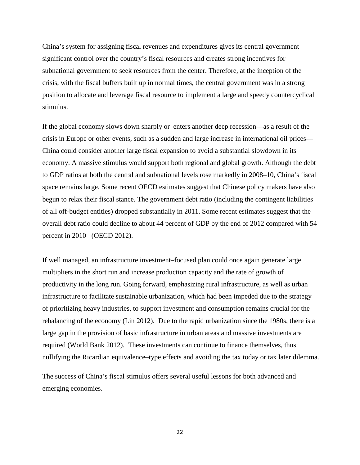China's system for assigning fiscal revenues and expenditures gives its central government significant control over the country's fiscal resources and creates strong incentives for subnational government to seek resources from the center. Therefore, at the inception of the crisis, with the fiscal buffers built up in normal times, the central government was in a strong position to allocate and leverage fiscal resource to implement a large and speedy countercyclical stimulus.

If the global economy slows down sharply or enters another deep recession—as a result of the crisis in Europe or other events, such as a sudden and large increase in international oil prices— China could consider another large fiscal expansion to avoid a substantial slowdown in its economy. A massive stimulus would support both regional and global growth. Although the debt to GDP ratios at both the central and subnational levels rose markedly in 2008–10, China's fiscal space remains large. Some recent OECD estimates suggest that Chinese policy makers have also begun to relax their fiscal stance. The government debt ratio (including the contingent liabilities of all off-budget entities) dropped substantially in 2011. Some recent estimates suggest that the overall debt ratio could decline to about 44 percent of GDP by the end of 2012 compared with 54 percent in 2010 (OECD 2012).

If well managed, an infrastructure investment–focused plan could once again generate large multipliers in the short run and increase production capacity and the rate of growth of productivity in the long run. Going forward, emphasizing rural infrastructure, as well as urban infrastructure to facilitate sustainable urbanization, which had been impeded due to the strategy of prioritizing heavy industries, to support investment and consumption remains crucial for the rebalancing of the economy (Lin 2012). Due to the rapid urbanization since the 1980s, there is a large gap in the provision of basic infrastructure in urban areas and massive investments are required (World Bank 2012). These investments can continue to finance themselves, thus nullifying the Ricardian equivalence–type effects and avoiding the tax today or tax later dilemma.

The success of China's fiscal stimulus offers several useful lessons for both advanced and emerging economies.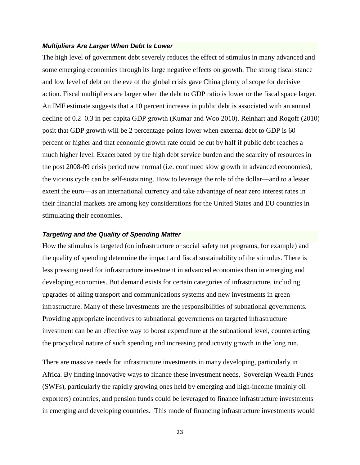#### *Multipliers Are Larger When Debt Is Lower*

The high level of government debt severely reduces the effect of stimulus in many advanced and some emerging economies through its large negative effects on growth. The strong fiscal stance and low level of debt on the eve of the global crisis gave China plenty of scope for decisive action. Fiscal multipliers are larger when the debt to GDP ratio is lower or the fiscal space larger. An IMF estimate suggests that a 10 percent increase in public debt is associated with an annual decline of 0.2–0.3 in per capita GDP growth (Kumar and Woo 2010). Reinhart and Rogoff (2010) posit that GDP growth will be 2 percentage points lower when external debt to GDP is 60 percent or higher and that economic growth rate could be cut by half if public debt reaches a much higher level. Exacerbated by the high debt service burden and the scarcity of resources in the post 2008-09 crisis period new normal (i.e. continued slow growth in advanced economies), the vicious cycle can be self-sustaining. How to leverage the role of the dollar—and to a lesser extent the euro—as an international currency and take advantage of near zero interest rates in their financial markets are among key considerations for the United States and EU countries in stimulating their economies.

#### *Targeting and the Quality of Spending Matter*

How the stimulus is targeted (on infrastructure or social safety net programs, for example) and the quality of spending determine the impact and fiscal sustainability of the stimulus. There is less pressing need for infrastructure investment in advanced economies than in emerging and developing economies. But demand exists for certain categories of infrastructure, including upgrades of ailing transport and communications systems and new investments in green infrastructure. Many of these investments are the responsibilities of subnational governments. Providing appropriate incentives to subnational governments on targeted infrastructure investment can be an effective way to boost expenditure at the subnational level, counteracting the procyclical nature of such spending and increasing productivity growth in the long run.

There are massive needs for infrastructure investments in many developing, particularly in Africa. By finding innovative ways to finance these investment needs, Sovereign Wealth Funds (SWFs), particularly the rapidly growing ones held by emerging and high-income (mainly oil exporters) countries, and pension funds could be leveraged to finance infrastructure investments in emerging and developing countries. This mode of financing infrastructure investments would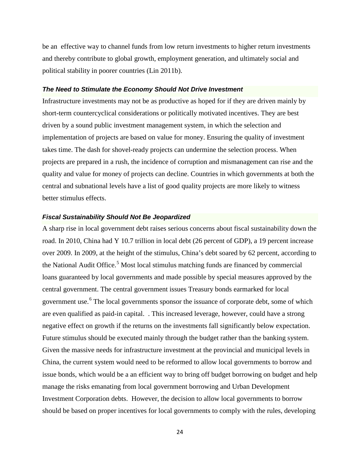be an effective way to channel funds from low return investments to higher return investments and thereby contribute to global growth, employment generation, and ultimately social and political stability in poorer countries (Lin 2011b).

#### *The Need to Stimulate the Economy Should Not Drive Investment*

Infrastructure investments may not be as productive as hoped for if they are driven mainly by short-term countercyclical considerations or politically motivated incentives. They are best driven by a sound public investment management system, in which the selection and implementation of projects are based on value for money. Ensuring the quality of investment takes time. The dash for shovel-ready projects can undermine the selection process. When projects are prepared in a rush, the incidence of corruption and mismanagement can rise and the quality and value for money of projects can decline. Countries in which governments at both the central and subnational levels have a list of good quality projects are more likely to witness better stimulus effects.

#### *Fiscal Sustainability Should Not Be Jeopardized*

A sharp rise in local government debt raises serious concerns about fiscal sustainability down the road. In 2010, China had Y 10.7 trillion in local debt (26 percent of GDP), a 19 percent increase over 2009. In 2009, at the height of the stimulus, China's debt soared by 62 percent, according to the National Audit Office.<sup>[5](#page-34-4)</sup> Most local stimulus matching funds are financed by commercial loans guaranteed by local governments and made possible by special measures approved by the central government. The central government issues Treasury bonds earmarked for local government use.<sup>[6](#page-34-5)</sup> The local governments sponsor the issuance of corporate debt, some of which are even qualified as paid-in capital. . This increased leverage, however, could have a strong negative effect on growth if the returns on the investments fall significantly below expectation. Future stimulus should be executed mainly through the budget rather than the banking system. Given the massive needs for infrastructure investment at the provincial and municipal levels in China, the current system would need to be reformed to allow local governments to borrow and issue bonds, which would be a an efficient way to bring off budget borrowing on budget and help manage the risks emanating from local government borrowing and Urban Development Investment Corporation debts. However, the decision to allow local governments to borrow should be based on proper incentives for local governments to comply with the rules, developing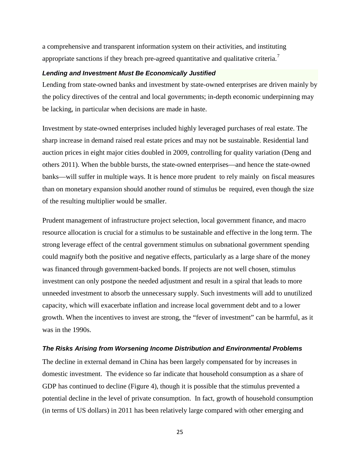a comprehensive and transparent information system on their activities, and instituting appropriate sanctions if they breach pre-agreed quantitative and qualitative criteria.<sup>[7](#page-34-6)</sup>

#### *Lending and Investment Must Be Economically Justified*

Lending from state-owned banks and investment by state-owned enterprises are driven mainly by the policy directives of the central and local governments; in-depth economic underpinning may be lacking, in particular when decisions are made in haste.

Investment by state-owned enterprises included highly leveraged purchases of real estate. The sharp increase in demand raised real estate prices and may not be sustainable. Residential land auction prices in eight major cities doubled in 2009, controlling for quality variation (Deng and others 2011). When the bubble bursts, the state-owned enterprises—and hence the state-owned banks—will suffer in multiple ways. It is hence more prudent to rely mainly on fiscal measures than on monetary expansion should another round of stimulus be required, even though the size of the resulting multiplier would be smaller.

Prudent management of infrastructure project selection, local government finance, and macro resource allocation is crucial for a stimulus to be sustainable and effective in the long term. The strong leverage effect of the central government stimulus on subnational government spending could magnify both the positive and negative effects, particularly as a large share of the money was financed through government-backed bonds. If projects are not well chosen, stimulus investment can only postpone the needed adjustment and result in a spiral that leads to more unneeded investment to absorb the unnecessary supply. Such investments will add to unutilized capacity, which will exacerbate inflation and increase local government debt and to a lower growth. When the incentives to invest are strong, the "fever of investment" can be harmful, as it was in the 1990s.

#### *The Risks Arising from Worsening Income Distribution and Environmental Problems*

The decline in external demand in China has been largely compensated for by increases in domestic investment. The evidence so far indicate that household consumption as a share of GDP has continued to decline (Figure 4), though it is possible that the stimulus prevented a potential decline in the level of private consumption. In fact, growth of household consumption (in terms of US dollars) in 2011 has been relatively large compared with other emerging and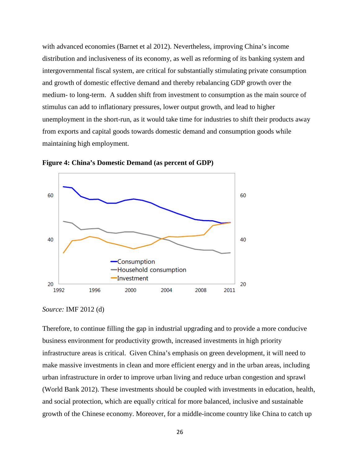with advanced economies (Barnet et al 2012). Nevertheless, improving China's income distribution and inclusiveness of its economy, as well as reforming of its banking system and intergovernmental fiscal system, are critical for substantially stimulating private consumption and growth of domestic effective demand and thereby rebalancing GDP growth over the medium- to long-term. A sudden shift from investment to consumption as the main source of stimulus can add to inflationary pressures, lower output growth, and lead to higher unemployment in the short-run, as it would take time for industries to shift their products away from exports and capital goods towards domestic demand and consumption goods while maintaining high employment.





*Source:* IMF 2012 (d)

Therefore, to continue filling the gap in industrial upgrading and to provide a more conducive business environment for productivity growth, increased investments in high priority infrastructure areas is critical. Given China's emphasis on green development, it will need to make massive investments in clean and more efficient energy and in the urban areas, including urban infrastructure in order to improve urban living and reduce urban congestion and sprawl (World Bank 2012). These investments should be coupled with investments in education, health, and social protection, which are equally critical for more balanced, inclusive and sustainable growth of the Chinese economy. Moreover, for a middle-income country like China to catch up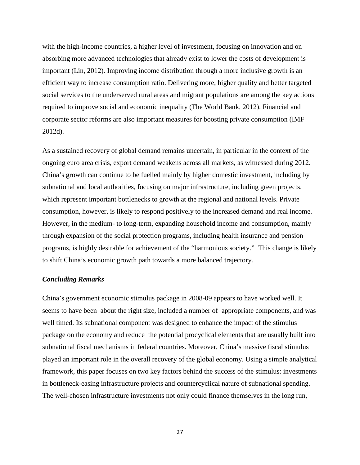with the high-income countries, a higher level of investment, focusing on innovation and on absorbing more advanced technologies that already exist to lower the costs of development is important (Lin, 2012). Improving income distribution through a more inclusive growth is an efficient way to increase consumption ratio. Delivering more, higher quality and better targeted social services to the underserved rural areas and migrant populations are among the key actions required to improve social and economic inequality (The World Bank, 2012). Financial and corporate sector reforms are also important measures for boosting private consumption (IMF 2012d).

As a sustained recovery of global demand remains uncertain, in particular in the context of the ongoing euro area crisis, export demand weakens across all markets, as witnessed during 2012. China's growth can continue to be fuelled mainly by higher domestic investment, including by subnational and local authorities, focusing on major infrastructure, including green projects, which represent important bottlenecks to growth at the regional and national levels. Private consumption, however, is likely to respond positively to the increased demand and real income. However, in the medium- to long-term, expanding household income and consumption, mainly through expansion of the social protection programs, including health insurance and pension programs, is highly desirable for achievement of the "harmonious society." This change is likely to shift China's economic growth path towards a more balanced trajectory.

#### *Concluding Remarks*

China's government economic stimulus package in 2008-09 appears to have worked well. It seems to have been about the right size, included a number of appropriate components, and was well timed. Its subnational component was designed to enhance the impact of the stimulus package on the economy and reduce the potential procyclical elements that are usually built into subnational fiscal mechanisms in federal countries. Moreover, China's massive fiscal stimulus played an important role in the overall recovery of the global economy. Using a simple analytical framework, this paper focuses on two key factors behind the success of the stimulus: investments in bottleneck-easing infrastructure projects and countercyclical nature of subnational spending. The well-chosen infrastructure investments not only could finance themselves in the long run,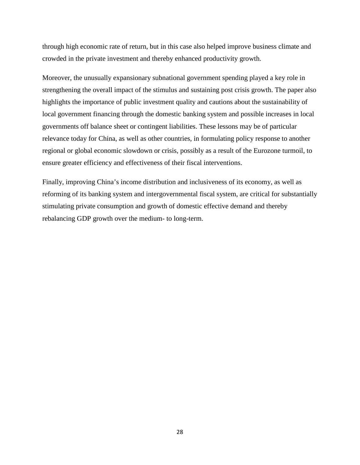through high economic rate of return, but in this case also helped improve business climate and crowded in the private investment and thereby enhanced productivity growth.

Moreover, the unusually expansionary subnational government spending played a key role in strengthening the overall impact of the stimulus and sustaining post crisis growth. The paper also highlights the importance of public investment quality and cautions about the sustainability of local government financing through the domestic banking system and possible increases in local governments off balance sheet or contingent liabilities. These lessons may be of particular relevance today for China, as well as other countries, in formulating policy response to another regional or global economic slowdown or crisis, possibly as a result of the Eurozone turmoil, to ensure greater efficiency and effectiveness of their fiscal interventions.

Finally, improving China's income distribution and inclusiveness of its economy, as well as reforming of its banking system and intergovernmental fiscal system, are critical for substantially stimulating private consumption and growth of domestic effective demand and thereby rebalancing GDP growth over the medium- to long-term.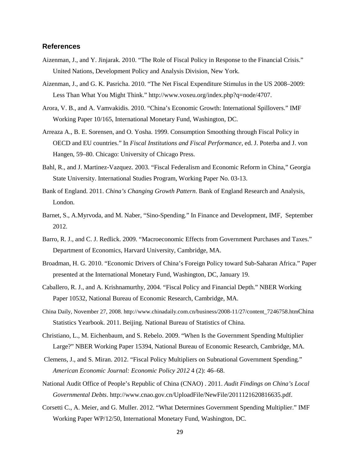#### **References**

- Aizenman, J., and Y. Jinjarak. 2010. "The Role of Fiscal Policy in Response to the Financial Crisis." United Nations, Development Policy and Analysis Division, New York.
- Aizenman, J., and G. K. Pasricha. 2010. "The Net Fiscal Expenditure Stimulus in the US 2008–2009: Less Than What You Might Think." http://www.voxeu.org/index.php?q=node/4707.
- Arora, V. B., and A. Vamvakidis. 2010. "China's Economic Growth: International Spillovers." IMF Working Paper 10/165, International Monetary Fund, Washington, DC.
- Arreaza A., B. E. Sorensen, and O. Yosha. 1999. Consumption Smoothing through Fiscal Policy in OECD and EU countries." In *Fiscal Institutions and Fiscal Performance*, ed. J. Poterba and J. von Hangen, 59–80. Chicago: University of Chicago Press.
- Bahl, R., and J. Martinez-Vazquez. 2003. "Fiscal Federalism and Economic Reform in China," Georgia State University. International Studies Program, Working Paper No. 03-13.
- Bank of England. 2011. *China's Changing Growth Pattern*. Bank of England Research and Analysis, London.
- Barnet, S., A.Myrvoda, and M. Naber, "Sino-Spending." In Finance and Development, IMF, September 2012.
- Barro, R. J., and C. J. Redlick. 2009. "Macroeconomic Effects from Government Purchases and Taxes." Department of Economics, Harvard University, Cambridge, MA.
- Broadman, H. G. 2010. "Economic Drivers of China's Foreign Policy toward Sub-Saharan Africa." Paper presented at the International Monetary Fund, Washington, DC, January 19.
- Caballero, R. J., and A. Krishnamurthy, 2004. "Fiscal Policy and Financial Depth." NBER Working Paper 10532, National Bureau of Economic Research, Cambridge, MA.
- China Daily, November 27, 2008. [http://www.chinadaily.com.cn/business/2008-11/27/content\\_7246758.htmC](http://www.chinadaily.com.cn/business/2008-11/27/content_7246758.htm)hina Statistics Yearbook. 2011. Beijing. National Bureau of Statistics of China.
- Christiano, L., M. Eichenbaum, and S. Rebelo. 2009. "When Is the Government Spending Multiplier Large?" NBER Working Paper 15394, National Bureau of Economic Research, Cambridge, MA.
- Clemens, J., and S. Miran. 2012. "Fiscal Policy Multipliers on Subnational Government Spending." *American Economic Journal: Economic Policy 2012* 4 (2): 46–68.
- National Audit Office of People's Republic of China (CNAO) . 2011. *Audit Findings on China's Local Governmental Debts*. [http://www.cnao.gov.cn/UploadFile/NewFile/2011121620816635.pdf.](http://www.cnao.gov.cn/UploadFile/NewFile/2011121620816635.pdf)
- Corsetti C., A. Meier, and G. Muller. 2012. "What Determines Government Spending Multiplier." IMF Working Paper WP/12/50, International Monetary Fund, Washington, DC.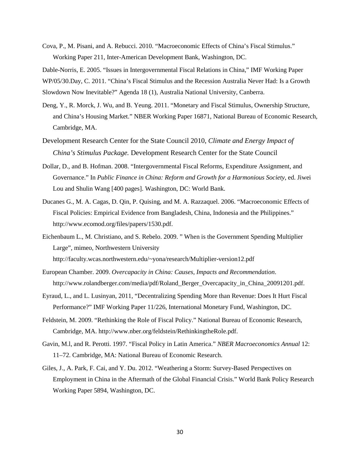Cova, P., M. Pisani, and A. Rebucci. 2010. "Macroeconomic Effects of China's Fiscal Stimulus." Working Paper 211, Inter-American Development Bank, Washington, DC.

Dable-Norris, E. 2005. "Issues in Intergovernmental Fiscal Relations in China," IMF Working Paper WP/05/30.Day, C. 2011. "China's Fiscal Stimulus and the Recession Australia Never Had: Is a Growth

Slowdown Now Inevitable?" Agenda 18 (1), Australia National University, Canberra.

- Deng, Y., R. Morck, J. Wu, and B. Yeung. 2011. "Monetary and Fiscal Stimulus, Ownership Structure, and China's Housing Market." NBER Working Paper 16871, National Bureau of Economic Research, Cambridge, MA.
- Development Research Center for the State Council 2010, *Climate and Energy Impact of China's Stimulus Package.* Development Research Center for the State Council
- Dollar, D., and B. Hofman. 2008. "Intergovernmental Fiscal Reforms, Expenditure Assignment, and Governance." In *Public Finance in China: Reform and Growth for a Harmonious Society*, ed. Jiwei Lou and Shulin Wang [400 pages]. Washington, DC: World Bank.
- Ducanes G., M. A. Cagas, D. Qin, P. Quising, and M. A. Razzaquel. 2006. "Macroeconomic Effects of Fiscal Policies: Empirical Evidence from Bangladesh, China, Indonesia and the Philippines." [http://www.ecomod.org/files/papers/1530.pdf.](http://www.ecomod.org/files/papers/1530.pdf)
- Eichenbaum L., M. Christiano, and S. Rebelo. 2009. " When is the Government Spending Multiplier Large", mimeo, Northwestern University http://faculty.wcas.northwestern.edu/~yona/research/Multiplier-version12.pdf
- European Chamber. 2009. *Overcapacity in China: Causes, Impacts and Recommendation*. [http://www.rolandberger.com/media/pdf/Roland\\_Berger\\_Overcapacity\\_in\\_China\\_20091201.pdf.](http://www.rolandberger.com/media/pdf/Roland_Berger_Overcapacity_in_China_20091201.pdf)
- Eyraud, L., and L. Lusinyan, 2011, "Decentralizing Spending More than Revenue: Does It Hurt Fiscal Performance?" IMF Working Paper 11/226, International Monetary Fund, Washington, DC.
- Feldstein, M. 2009. "Rethinking the Role of Fiscal Policy." National Bureau of Economic Research, Cambridge, MA. http://www.nber.org/feldstein/RethinkingtheRole.pdf.
- Gavin, M.l, and R. Perotti. 1997. "Fiscal Policy in Latin America." *NBER Macroeconomics Annual* 12: 11–72. Cambridge, MA: National Bureau of Economic Research.
- Giles, J., A. Park, F. Cai, and Y. Du. 2012. "Weathering a Storm: Survey-Based Perspectives on Employment in China in the Aftermath of the Global Financial Crisis." World Bank Policy Research Working Paper 5894, Washington, DC.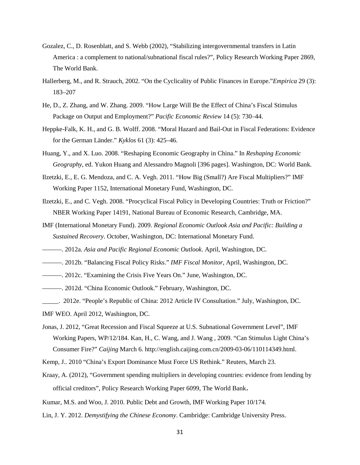- Gozalez, C., D. Rosenblatt, and S. Webb (2002), "Stabilizing intergovernmental transfers in Latin America : a complement to national/subnational fiscal rules?", Policy Research Working Paper 2869, The World Bank.
- Hallerberg, M., and R. Strauch, 2002. "On the Cyclicality of Public Finances in Europe."*Empirica* 29 (3): 183–207
- He, D., Z. Zhang, and W. Zhang. 2009. "How Large Will Be the Effect of China's Fiscal Stimulus Package on Output and Employment?" *Pacific Economic Review* 14 (5): 730–44.
- Heppke-Falk, K. H., and G. B. Wolff. 2008. "Moral Hazard and Bail-Out in Fiscal Federations: Evidence for the German Länder." *Kyklos* 61 (3): 425–46.
- Huang, Y., and X. Luo. 2008. "Reshaping Economic Geography in China." In *Reshaping Economic Geography*, ed. Yukon Huang and Alessandro Magnoli [396 pages]. Washington, DC: World Bank.
- [Ilzetzki,](http://www.voxeu.org/index.php?q=node/4037) E., [E. G. Mendoza,](http://www.voxeu.org/index.php?q=node/3045) and [C. A. Vegh. 2](http://www.voxeu.org/index.php?q=node/4038)011. "How Big (Small?) Are Fiscal Multipliers?" IMF Working Paper 1152, International Monetary Fund, Washington, DC.
- Ilzetzki, E., and C. Vegh. 2008. "Procyclical Fiscal Policy in Developing Countries: Truth or Friction?" NBER Working Paper 14191, National Bureau of Economic Research, Cambridge, MA.
- IMF (International Monetary Fund). 2009. *Regional Economic Outlook Asia and Pacific: Building a Sustained Recovery*. October, Washington, DC: International Monetary Fund.
- ———. 2012a. *Asia and Pacific Regional Economic Outlook*. April, Washington, DC.
- ———. 2012b. "Balancing Fiscal Policy Risks." *IMF Fiscal Monitor,* April, Washington, DC.
- ———. 2012c. "Examining the Crisis Five Years On." June, Washington, DC.
- ———. 2012d. "China Economic Outlook." February, Washington, DC.
- \_\_\_\_\_. 2012e. "People's Republic of China: 2012 Article IV Consultation." July, Washington, DC.
- IMF WEO. April 2012, Washington, DC.
- Jonas, J. 2012, "Great Recession and Fiscal Squeeze at U.S. Subnational Government Level", IMF Working Papers, WP/12/184. Kan, H., C. Wang, and J. Wang , 2009. "Can Stimulus Light China's Consumer Fire?" *Caijing* March 6. http://english.caijing.com.cn/2009-03-06/110114349.html.
- Kemp, J.. 2010 "China's Export Dominance Must Force US Rethink." Reuters, March 23.
- Kraay, A. (2012), "Government spending multipliers in developing countries: evidence from lending by official creditors", Policy Research Working Paper 6099, The World Bank.
- Kumar, M.S. and Woo, J. 2010. Public Debt and Growth, IMF Working Paper 10/174.
- Lin, J. Y. 2012. *Demystifying the Chinese Economy*. Cambridge: Cambridge University Press.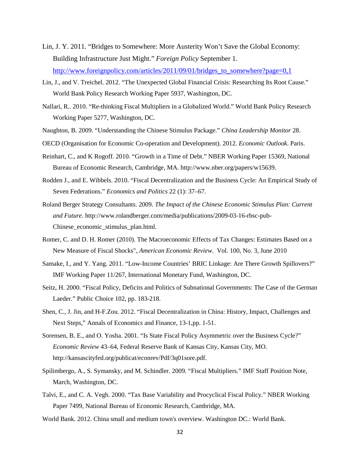- Lin, J. Y. 2011. "Bridges to Somewhere: More Austerity Won't Save the Global Economy: Building Infrastructure Just Might." *Foreign Policy* September 1. [http://www.foreignpolicy.com/articles/2011/09/01/bridges\\_to\\_somewhere?page=0,1](http://www.foreignpolicy.com/articles/2011/09/01/bridges_to_somewhere?page=0,1)
- Lin, J., and V. Treichel. 2012. "The Unexpected Global Financial Crisis: Researching Its Root Cause." World Bank Policy Research Working Paper 5937, Washington, DC.
- Nallari, R.. 2010. "Re-thinking Fiscal Multipliers in a Globalized World." World Bank Policy Research Working Paper 5277, Washington, DC.
- Naughton, B. 2009. "Understanding the Chinese Stimulus Package." *China Leadership Monitor* 28.
- OECD (Organisation for Economic Co-operation and Development). 2012. *Economic Outlook*. Paris.
- Reinhart, C., and K Rogoff. 2010. "Growth in a Time of Debt." NBER Working Paper 15369, National Bureau of Economic Research, Cambridge, MA. http://www.nber.org/papers/w15639.
- Rodden J., and E. Wibbels. 2010. "Fiscal Decentralization and the Business Cycle: An Empirical Study of Seven Federations." *Economics and Politics* 22 (1): 37–67.
- Roland Berger Strategy Consultants. 2009. *The Impact of the Chinese Economic Stimulus Plan: Current and Future.* [http://www.rolandberger.com/media/publications/2009-03-16-rbsc-pub-](http://www.rolandberger.com/media/publications/2009-03-16-rbsc-pub-Chinese_economic_stimulus_plan.html)[Chinese\\_economic\\_stimulus\\_plan.html.](http://www.rolandberger.com/media/publications/2009-03-16-rbsc-pub-Chinese_economic_stimulus_plan.html)
- Romer, C. and D. H. Romer (2010). [The Macroeconomic Effects of Tax Changes: Estimates Based on a](http://www.econ.berkeley.edu/~cromer/RomerDraft307.pdf)  [New Measure of Fiscal Shocks"](http://www.econ.berkeley.edu/~cromer/RomerDraft307.pdf), *American Economic Review.* Vol. 100, No. 3, June 2010
- Samake, I., and Y. Yang. 2011. "Low-Income Countries' BRIC Linkage: Are There Growth Spillovers?" IMF Working Paper 11/267, International Monetary Fund, Washington, DC.
- Seitz, H. 2000. "Fiscal Policy, Deficits and Politics of Subnational Governments: The Case of the German Laeder." Public Choice 102, pp. 183-218.
- Shen, C., J. Jin, and H-F.Zou. 2012. "Fiscal Decentralization in China: History, Impact, Challenges and Next Steps," Annals of Economics and Finance, 13-1,pp. 1-51.
- Sorensen, B. E., and O. Yosha. 2001. "Is State Fiscal Policy Asymmetric over the Business Cycle?" *Economic Review* 43–64, Federal Reserve Bank of Kansas City, Kansas City, MO. [http://kansascityfed.org/publicat/econrev/Pdf/3q01sore.pdf.](http://kansascityfed.org/publicat/econrev/Pdf/3q01sore.pdf)
- Spilimbergo, A., S. Symansky, and M. Schindler. 2009. "Fiscal Multipliers." IMF Staff Position Note, March, Washington, DC.
- Talvi, E., and C. A. Vegh. 2000. "Tax Base Variability and Procyclical Fiscal Policy." NBER Working Paper 7499, National Bureau of Economic Research, Cambridge, MA.
- World Bank. 2012. China small and medium town's overview. Washington DC.: World Bank.